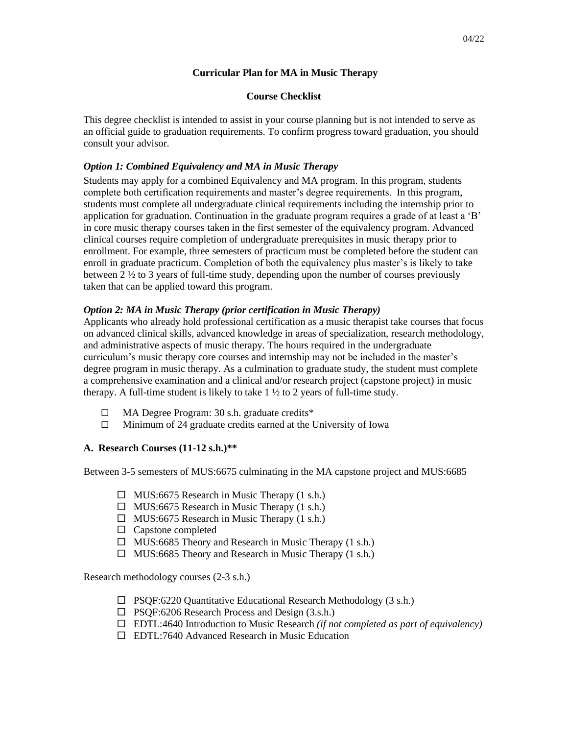#### **Curricular Plan for MA in Music Therapy**

#### **Course Checklist**

This degree checklist is intended to assist in your course planning but is not intended to serve as an official guide to graduation requirements. To confirm progress toward graduation, you should consult your advisor.

### *Option 1: Combined Equivalency and MA in Music Therapy*

Students may apply for a combined Equivalency and MA program. In this program, students complete both certification requirements and master's degree requirements. In this program, students must complete all undergraduate clinical requirements including the internship prior to application for graduation. Continuation in the graduate program requires a grade of at least a 'B' in core music therapy courses taken in the first semester of the equivalency program. Advanced clinical courses require completion of undergraduate prerequisites in music therapy prior to enrollment. For example, three semesters of practicum must be completed before the student can enroll in graduate practicum. Completion of both the equivalency plus master's is likely to take between  $2\frac{1}{2}$  to 3 years of full-time study, depending upon the number of courses previously taken that can be applied toward this program.

#### *Option 2: MA in Music Therapy (prior certification in Music Therapy)*

Applicants who already hold professional certification as a music therapist take courses that focus on advanced clinical skills, advanced knowledge in areas of specialization, research methodology, and administrative aspects of music therapy. The hours required in the undergraduate curriculum's music therapy core courses and internship may not be included in the master's degree program in music therapy. As a culmination to graduate study, the student must complete a comprehensive examination and a clinical and/or research project (capstone project) in music therapy. A full-time student is likely to take  $1 \frac{1}{2}$  to 2 years of full-time study.

- □ MA Degree Program: 30 s.h. graduate credits\*
- $\Box$  Minimum of 24 graduate credits earned at the University of Iowa

#### **A. Research Courses (11-12 s.h.)\*\***

Between 3-5 semesters of MUS:6675 culminating in the MA capstone project and MUS:6685

- $\Box$  MUS:6675 Research in Music Therapy (1 s.h.)
- $\Box$  MUS:6675 Research in Music Therapy (1 s.h.)
- $\Box$  MUS:6675 Research in Music Therapy (1 s.h.)
- $\Box$  Capstone completed
- $\Box$  MUS:6685 Theory and Research in Music Therapy (1 s.h.)
- $\Box$  MUS:6685 Theory and Research in Music Therapy (1 s.h.)

Research methodology courses (2-3 s.h.)

- $\Box$  PSQF:6220 Quantitative Educational Research Methodology (3 s.h.)
- □ PSQF:6206 Research Process and Design (3.s.h.)
- EDTL:4640 Introduction to Music Research *(if not completed as part of equivalency)*
- EDTL:7640 Advanced Research in Music Education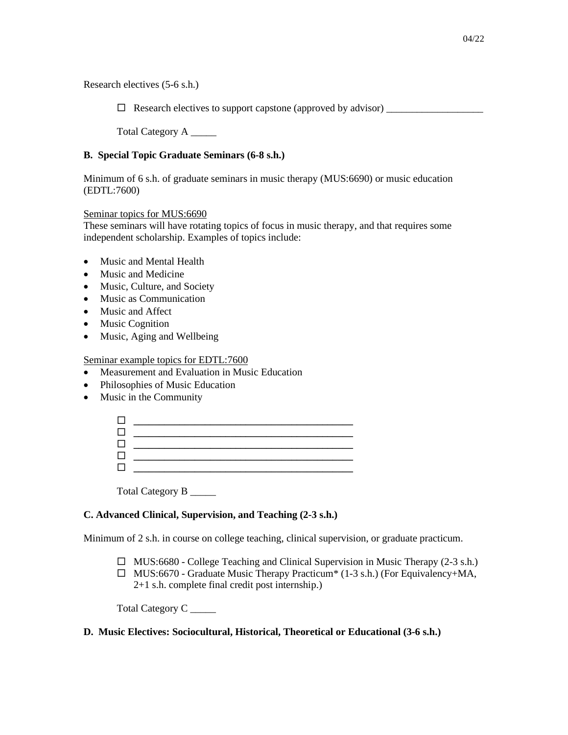Research electives (5-6 s.h.)

 $\Box$  Research electives to support capstone (approved by advisor)

Total Category A \_\_\_\_\_

### **B. Special Topic Graduate Seminars (6-8 s.h.)**

Minimum of 6 s.h. of graduate seminars in music therapy (MUS:6690) or music education (EDTL:7600)

# Seminar topics for MUS:6690

These seminars will have rotating topics of focus in music therapy, and that requires some independent scholarship. Examples of topics include:

- Music and Mental Health
- Music and Medicine
- Music, Culture, and Society
- Music as Communication
- Music and Affect
- Music Cognition
- Music, Aging and Wellbeing

Seminar example topics for EDTL:7600

- Measurement and Evaluation in Music Education
- Philosophies of Music Education
- Music in the Community

Total Category B \_\_\_\_\_

### **C. Advanced Clinical, Supervision, and Teaching (2-3 s.h.)**

Minimum of 2 s.h. in course on college teaching, clinical supervision, or graduate practicum.

- $\Box$  MUS:6680 College Teaching and Clinical Supervision in Music Therapy (2-3 s.h.)
- MUS:6670 Graduate Music Therapy Practicum\* (1-3 s.h.) (For Equivalency+MA, 2+1 s.h. complete final credit post internship.)

Total Category C<sub>\_\_\_\_\_</sub>

#### **D. Music Electives: Sociocultural, Historical, Theoretical or Educational (3-6 s.h.)**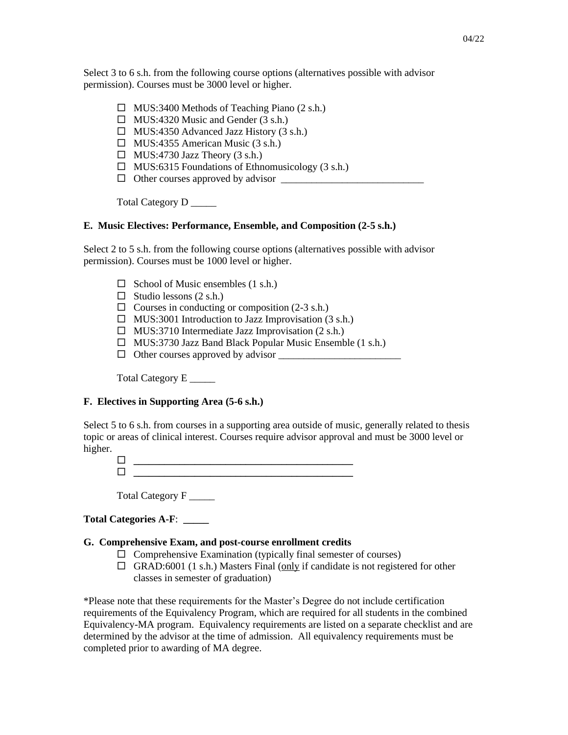Select 3 to 6 s.h. from the following course options (alternatives possible with advisor permission). Courses must be 3000 level or higher.

- $\Box$  MUS:3400 Methods of Teaching Piano (2 s.h.)
- $\Box$  MUS:4320 Music and Gender (3 s.h.)
- $\Box$  MUS:4350 Advanced Jazz History (3 s.h.)
- $\Box$  MUS:4355 American Music (3 s.h.)
- $\Box$  MUS:4730 Jazz Theory (3 s.h.)
- $\Box$  MUS:6315 Foundations of Ethnomusicology (3 s.h.)
- $\Box$  Other courses approved by advisor

Total Category D \_\_\_\_\_\_

### **E. Music Electives: Performance, Ensemble, and Composition (2-5 s.h.)**

Select 2 to 5 s.h. from the following course options (alternatives possible with advisor permission). Courses must be 1000 level or higher.

- $\Box$  School of Music ensembles (1 s.h.)
- $\Box$  Studio lessons (2 s.h.)
- $\Box$  Courses in conducting or composition (2-3 s.h.)
- $\Box$  MUS:3001 Introduction to Jazz Improvisation (3 s.h.)
- $\Box$  MUS:3710 Intermediate Jazz Improvisation (2 s.h.)
- $\Box$  MUS:3730 Jazz Band Black Popular Music Ensemble (1 s.h.)
- $\Box$  Other courses approved by advisor

Total Category E \_\_\_\_\_

### **F. Electives in Supporting Area (5-6 s.h.)**

Select 5 to 6 s.h. from courses in a supporting area outside of music, generally related to thesis topic or areas of clinical interest. Courses require advisor approval and must be 3000 level or higher.

 **\_\_\_\_\_\_\_\_\_\_\_\_\_\_\_\_\_\_\_\_\_\_\_\_\_\_\_\_\_\_\_\_\_\_\_\_\_\_\_\_\_\_\_ \_\_\_\_\_\_\_\_\_\_\_\_\_\_\_\_\_\_\_\_\_\_\_\_\_\_\_\_\_\_\_\_\_\_\_\_\_\_\_\_\_\_\_**

Total Category F \_\_\_\_\_

### **Total Categories A-F**: **\_\_\_\_\_**

# **G. Comprehensive Exam, and post-course enrollment credits**

- $\Box$  Comprehensive Examination (typically final semester of courses)
- $\Box$  GRAD:6001 (1 s.h.) Masters Final (only if candidate is not registered for other classes in semester of graduation)

\*Please note that these requirements for the Master's Degree do not include certification requirements of the Equivalency Program, which are required for all students in the combined Equivalency-MA program. Equivalency requirements are listed on a separate checklist and are determined by the advisor at the time of admission. All equivalency requirements must be completed prior to awarding of MA degree.